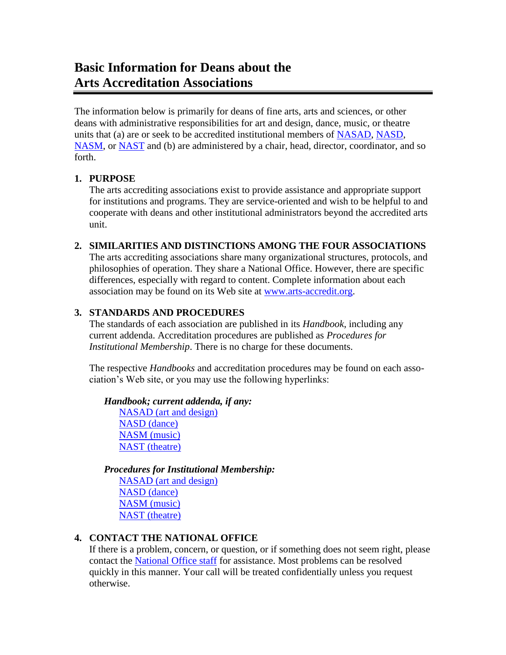# **Basic Information for Deans about the Arts Accreditation Associations**

The information below is primarily for deans of fine arts, arts and sciences, or other deans with administrative responsibilities for art and design, dance, music, or theatre units that (a) are or seek to be accredited institutional members of [NASAD,](https://nasad.arts-accredit.org/) [NASD,](https://nasd.arts-accredit.org/) [NASM,](https://nasm.arts-accredit.org/) or [NAST](https://nast.arts-accredit.org/) and (b) are administered by a chair, head, director, coordinator, and so forth.

#### **1. PURPOSE**

The arts accrediting associations exist to provide assistance and appropriate support for institutions and programs. They are service-oriented and wish to be helpful to and cooperate with deans and other institutional administrators beyond the accredited arts unit.

#### **2. SIMILARITIES AND DISTINCTIONS AMONG THE FOUR ASSOCIATIONS**

The arts accrediting associations share many organizational structures, protocols, and philosophies of operation. They share a National Office. However, there are specific differences, especially with regard to content. Complete information about each association may be found on its Web site at [www.arts-accredit.org.](http://www.arts-accredit.org/)

### **3. STANDARDS AND PROCEDURES**

The standards of each association are published in its *Handbook*, including any current addenda. Accreditation procedures are published as *Procedures for Institutional Membership*. There is no charge for these documents.

The respective *Handbooks* and accreditation procedures may be found on each association's Web site, or you may use the following hyperlinks:

#### *Handbook; current addenda, if any:*

[NASAD \(art and design\)](https://nasad.arts-accredit.org/accreditation/standards-guidelines/handbook/) [NASD \(dance\)](https://nasd.arts-accredit.org/accreditation/standards-guidelines/handbook/) [NASM \(music\)](https://nasm.arts-accredit.org/accreditation/standards-guidelines/handbook/) [NAST \(theatre\)](https://nast.arts-accredit.org/accreditation/standards-guidelines/handbook/)

*Procedures for Institutional Membership:* 

[NASAD \(art and design\)](https://nasad.arts-accredit.org/accreditation/procedures-for-comprehensive-reviews/) [NASD \(dance\)](https://nasd.arts-accredit.org/accreditation/procedures-for-comprehensive-reviews/) [NASM \(music\)](https://nasm.arts-accredit.org/accreditation/procedures-for-comprehensive-reviews/) [NAST \(theatre\)](https://nast.arts-accredit.org/accreditation/procedures-for-comprehensive-reviews/)

### **4. CONTACT THE NATIONAL OFFICE**

If there is a problem, concern, or question, or if something does not seem right, please contact the [National Office staff](https://www.arts-accredit.org/council-of-arts-accrediting-associations/contact-us/) for assistance. Most problems can be resolved quickly in this manner. Your call will be treated confidentially unless you request otherwise.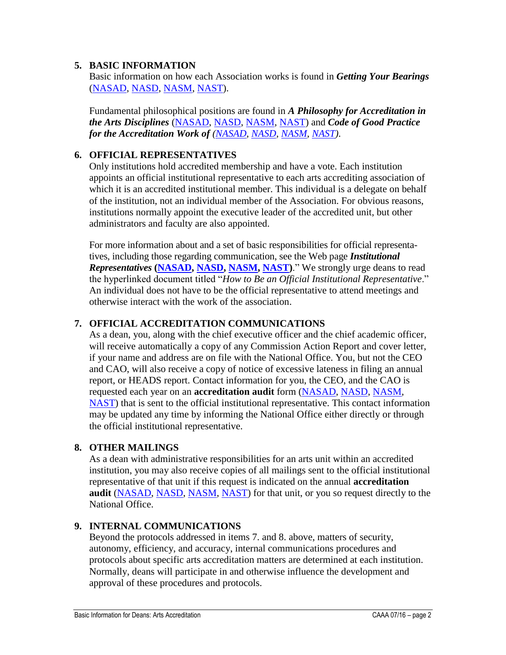## **5. BASIC INFORMATION**

Basic information on how each Association works is found in *Getting Your Bearings* [\(NASAD,](https://nasad.arts-accredit.org/wp-content/uploads/sites/3/2015/11/NASAD_GETTING_YOUR_BEARINGS.pdf) [NASD,](https://nasd.arts-accredit.org/wp-content/uploads/sites/5/2015/11/NASD-GETTING-YOUR-BEARINGS.pdf) [NASM,](https://nasm.arts-accredit.org/wp-content/uploads/sites/2/2015/11/NASM-GETTING-YOUR-BEARINGS.pdf) [NAST\)](https://nast.arts-accredit.org/wp-content/uploads/sites/4/2015/11/NAST_GETTING_YOUR_BEARINGS.pdf).

Fundamental philosophical positions are found in *A Philosophy for Accreditation in the Arts Disciplines* [\(NASAD,](https://nasad.arts-accredit.org/wp-content/uploads/sites/3/2015/11/Philosophy-for-Accreditation.pdf) [NASD,](https://nasd.arts-accredit.org/wp-content/uploads/sites/5/2015/11/Philosophy-for-Accreditation.pdf) [NASM,](https://nasm.arts-accredit.org/wp-content/uploads/sites/2/2015/11/Philosophy-for-Accreditation.pdf) [NAST\)](https://nast.arts-accredit.org/wp-content/uploads/sites/4/2015/11/Philosophy-for-Accreditation.pdf) and *Code of Good Practice for the Accreditation Work of [\(NASAD,](https://nasad.arts-accredit.org/wp-content/uploads/sites/3/2015/11/NASAD-Code-of-Good-Practice.pdf) [NASD,](https://nasd.arts-accredit.org/wp-content/uploads/sites/5/2015/11/NASD-Code-of-Good-Practice.pdf) [NASM,](https://nasm.arts-accredit.org/wp-content/uploads/sites/2/2015/11/NASM-Code-of-Good-Practice.pdf) [NAST\)](https://nast.arts-accredit.org/wp-content/uploads/sites/4/2016/03/NAST-Code-of-Good-Practice.pdf)*.

## **6. OFFICIAL REPRESENTATIVES**

Only institutions hold accredited membership and have a vote. Each institution appoints an official institutional representative to each arts accrediting association of which it is an accredited institutional member. This individual is a delegate on behalf of the institution, not an individual member of the Association. For obvious reasons, institutions normally appoint the executive leader of the accredited unit, but other administrators and faculty are also appointed.

For more information about and a set of basic responsibilities for official representatives, including those regarding communication, see the Web page *Institutional Representatives* **[\(NASAD,](https://nasad.arts-accredit.org/accreditation/comprehensive-review-process/getting-started/institutional-representatives/) [NASD,](https://nasd.arts-accredit.org/accreditation/comprehensive-review-process/getting-started/institutional-representatives/) [NASM,](https://nasm.arts-accredit.org/accreditation/comprehensive-review-process/getting-started/institutional-representatives/) [NAST\)](https://nast.arts-accredit.org/accreditation/comprehensive-review-process/getting-started/institutional-representatives/)**." We strongly urge deans to read the hyperlinked document titled "*How to Be an Official Institutional Representative*." An individual does not have to be the official representative to attend meetings and otherwise interact with the work of the association.

# **7. OFFICIAL ACCREDITATION COMMUNICATIONS**

As a dean, you, along with the chief executive officer and the chief academic officer, will receive automatically a copy of any Commission Action Report and cover letter, if your name and address are on file with the National Office. You, but not the CEO and CAO, will also receive a copy of notice of excessive lateness in filing an annual report, or HEADS report. Contact information for you, the CEO, and the CAO is requested each year on an **accreditation audit** form [\(NASAD,](http://nasad.arts-accredit.org/index.jsp?page=Institutional%20Audit) [NASD,](http://nasd.arts-accredit.org/index.jsp?page=NASD%20Institutional%20Audit) [NASM,](http://nasm.arts-accredit.org/index.jsp?page=Institutional%20Audit) [NAST\)](https://nast.arts-accredit.org/accreditation/responsibilities/annual-reporting-requirements/audit/) that is sent to the official institutional representative. This contact information may be updated any time by informing the National Office either directly or through the official institutional representative.

### **8. OTHER MAILINGS**

As a dean with administrative responsibilities for an arts unit within an accredited institution, you may also receive copies of all mailings sent to the official institutional representative of that unit if this request is indicated on the annual **accreditation audit** [\(NASAD,](https://nasad.arts-accredit.org/accreditation/responsibilities/annual-reporting-requirements/audit/) [NASD,](https://nasd.arts-accredit.org/accreditation/responsibilities/annual-reporting-requirements/audit/) [NASM,](https://nasm.arts-accredit.org/accreditation/responsibilities/annual-reporting-requirements/audit/) [NAST\)](http://nast.arts-accredit.org/index.jsp?page=NAST%20Institutional%20Audit) for that unit, or you so request directly to the National Office.

# **9. INTERNAL COMMUNICATIONS**

Beyond the protocols addressed in items 7. and 8. above, matters of security, autonomy, efficiency, and accuracy, internal communications procedures and protocols about specific arts accreditation matters are determined at each institution. Normally, deans will participate in and otherwise influence the development and approval of these procedures and protocols.